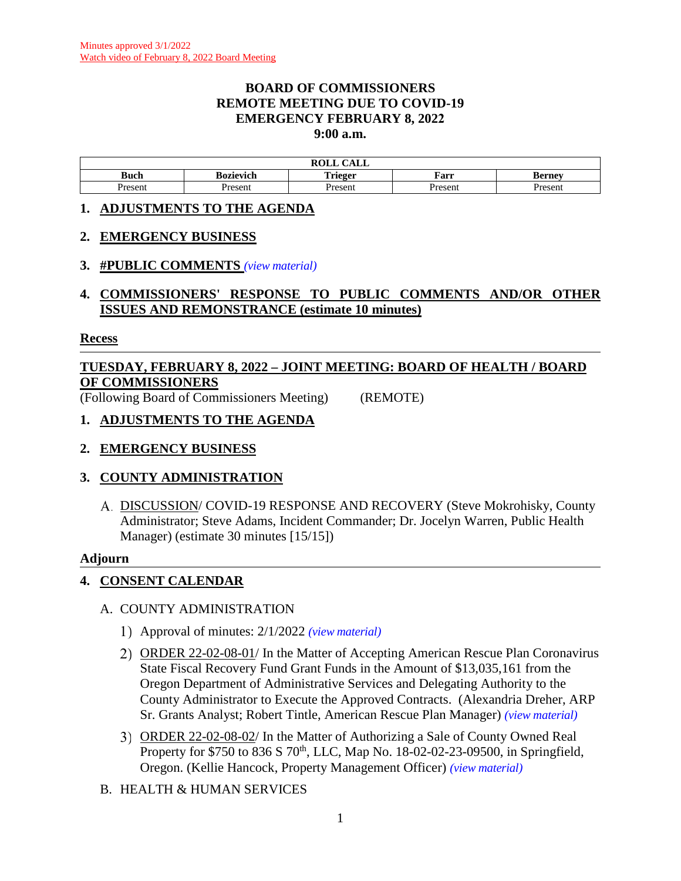### **BOARD OF COMMISSIONERS REMOTE MEETING DUE TO COVID-19 EMERGENCY FEBRUARY 8, 2022 9:00 a.m.**

| $\bigcap$ $\bigcap$ $\bigcap$<br>DAT T<br>,,,<br>САЫС<br>rvel |           |         |        |         |  |  |  |
|---------------------------------------------------------------|-----------|---------|--------|---------|--|--|--|
| <b>Buch</b>                                                   | Kozievich | Trieger | Farr   | Berney. |  |  |  |
| Present                                                       | Presen    | resen   | Presen | resent  |  |  |  |

### **1. ADJUSTMENTS TO THE AGENDA**

### **2. EMERGENCY BUSINESS**

### **3. #PUBLIC COMMENTS** *(view [material\)](http://www.lanecountyor.gov/UserFiles/Servers/Server_3585797/File/Government/BCC/2022/2022_AGENDAS/020822agenda/T.3.pdf)*

## **4. COMMISSIONERS' RESPONSE TO PUBLIC COMMENTS AND/OR OTHER ISSUES AND REMONSTRANCE (estimate 10 minutes)**

### **Recess**

# **TUESDAY, FEBRUARY 8, 2022 – JOINT MEETING: BOARD OF HEALTH / BOARD OF COMMISSIONERS**

(Following Board of Commissioners Meeting) (REMOTE)

### **1. ADJUSTMENTS TO THE AGENDA**

## **2. EMERGENCY BUSINESS**

## **3. COUNTY ADMINISTRATION**

DISCUSSION/ COVID-19 RESPONSE AND RECOVERY (Steve Mokrohisky, County Administrator; Steve Adams, Incident Commander; Dr. Jocelyn Warren, Public Health Manager) (estimate 30 minutes [15/15])

### **Adjourn**

## **4. CONSENT CALENDAR**

## A. COUNTY ADMINISTRATION

- Approval of minutes: 2/1/2022 *(view [material\)](http://www.lanecountyor.gov/UserFiles/Servers/Server_3585797/File/Government/BCC/2022/2022_AGENDAS/020822agenda/T.7.A.1.pdf)*
- ORDER 22-02-08-01/ In the Matter of Accepting American Rescue Plan Coronavirus State Fiscal Recovery Fund Grant Funds in the Amount of \$13,035,161 from the Oregon Department of Administrative Services and Delegating Authority to the County Administrator to Execute the Approved Contracts. (Alexandria Dreher, ARP Sr. Grants Analyst; Robert Tintle, American Rescue Plan Manager) *(view [material\)](http://www.lanecountyor.gov/UserFiles/Servers/Server_3585797/File/Government/BCC/2022/2022_AGENDAS/020822agenda/T.7.A.2.pdf)*
- ORDER 22-02-08-02/ In the Matter of Authorizing a Sale of County Owned Real Property for \$750 to 836 S 70<sup>th</sup>, LLC, Map No. 18-02-02-23-09500, in Springfield, Oregon. (Kellie Hancock, Property Management Officer) *(view [material\)](http://www.lanecountyor.gov/UserFiles/Servers/Server_3585797/File/Government/BCC/2022/2022_AGENDAS/020822agenda/T.7.A.3.pdf)*
- B. HEALTH & HUMAN SERVICES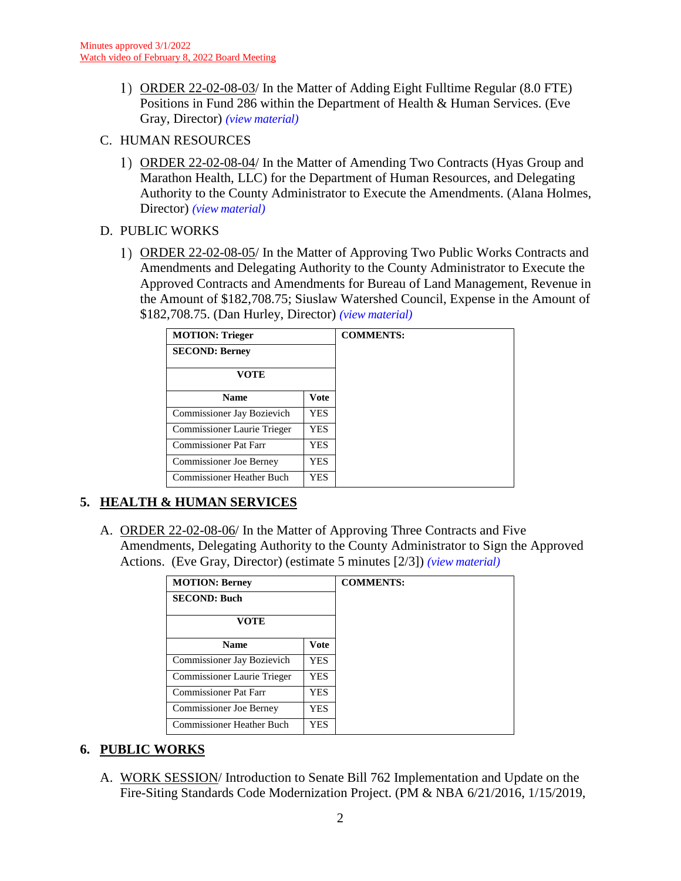- ORDER 22-02-08-03/ In the Matter of Adding Eight Fulltime Regular (8.0 FTE) Positions in Fund 286 within the Department of Health & Human Services. (Eve Gray, Director) *(view [material\)](http://www.lanecountyor.gov/UserFiles/Servers/Server_3585797/File/Government/BCC/2022/2022_AGENDAS/020822agenda/T.7.B.1.pdf)*
- C. HUMAN RESOURCES
	- ORDER 22-02-08-04/ In the Matter of Amending Two Contracts (Hyas Group and Marathon Health, LLC) for the Department of Human Resources, and Delegating Authority to the County Administrator to Execute the Amendments. (Alana Holmes, Director) *(view [material\)](http://www.lanecountyor.gov/UserFiles/Servers/Server_3585797/File/Government/BCC/2022/2022_AGENDAS/020822agenda/T.7.C.1.pdf)*

## D. PUBLIC WORKS

ORDER 22-02-08-05/ In the Matter of Approving Two Public Works Contracts and Amendments and Delegating Authority to the County Administrator to Execute the Approved Contracts and Amendments for Bureau of Land Management, Revenue in the Amount of \$182,708.75; Siuslaw Watershed Council, Expense in the Amount of \$182,708.75. (Dan Hurley, Director) *(view [material\)](http://www.lanecountyor.gov/UserFiles/Servers/Server_3585797/File/Government/BCC/2022/2022_AGENDAS/020822agenda/T.7.D.1.pdf)*

| <b>MOTION: Trieger</b>           |             |  |
|----------------------------------|-------------|--|
| <b>SECOND: Berney</b>            |             |  |
| VOTE                             |             |  |
| <b>Name</b>                      | <b>Vote</b> |  |
| Commissioner Jay Bozievich       | <b>YES</b>  |  |
| Commissioner Laurie Trieger      | YES.        |  |
| <b>Commissioner Pat Farr</b>     | <b>YES</b>  |  |
| <b>Commissioner Joe Berney</b>   | YES         |  |
| <b>Commissioner Heather Buch</b> | YES.        |  |

## **5. HEALTH & HUMAN SERVICES**

A. ORDER 22-02-08-06/ In the Matter of Approving Three Contracts and Five Amendments, Delegating Authority to the County Administrator to Sign the Approved Actions. (Eve Gray, Director) (estimate 5 minutes [2/3]) *(view [material\)](http://www.lanecountyor.gov/UserFiles/Servers/Server_3585797/File/Government/BCC/2022/2022_AGENDAS/020822agenda/T.8.A.pdf)*

| <b>MOTION: Berney</b>                   |             |  |
|-----------------------------------------|-------------|--|
| <b>SECOND: Buch</b>                     |             |  |
| <b>VOTE</b>                             |             |  |
| <b>Name</b>                             | <b>Vote</b> |  |
| Commissioner Jay Bozievich              | YES.        |  |
| Commissioner Laurie Trieger             | <b>YES</b>  |  |
| <b>Commissioner Pat Farr</b>            | YES.        |  |
| Commissioner Joe Berney                 | <b>YES</b>  |  |
| <b>Commissioner Heather Buch</b><br>YES |             |  |

## **6. PUBLIC WORKS**

A. WORK SESSION/ Introduction to Senate Bill 762 Implementation and Update on the Fire-Siting Standards Code Modernization Project. (PM & NBA 6/21/2016, 1/15/2019,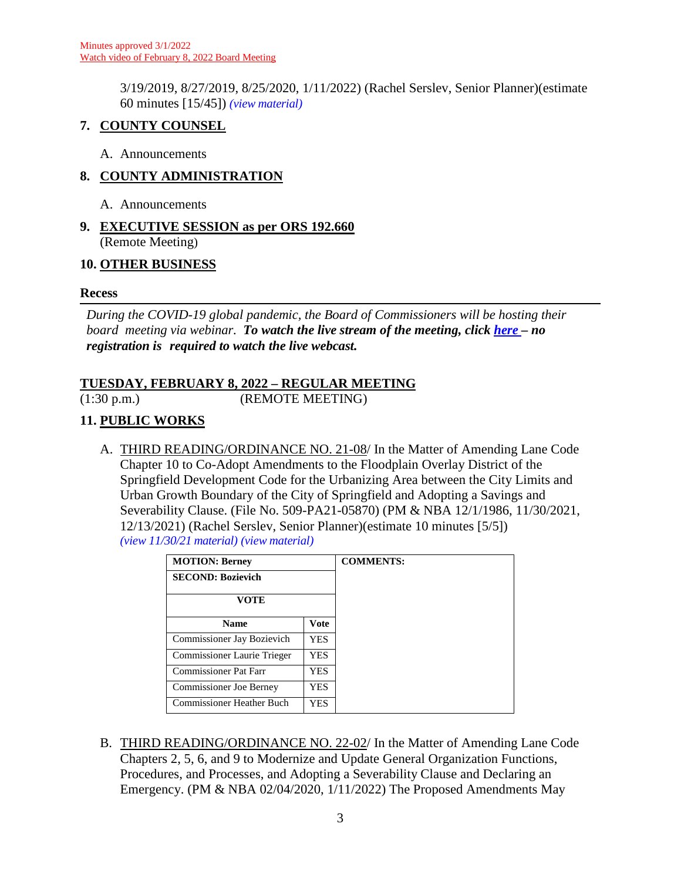3/19/2019, 8/27/2019, 8/25/2020, 1/11/2022) (Rachel Serslev, Senior Planner)(estimate 60 minutes [15/45]) *(view [material\)](http://www.lanecountyor.gov/UserFiles/Servers/Server_3585797/File/Government/BCC/2022/2022_AGENDAS/020822agenda/T.9.A.pdf)*

## **7. COUNTY COUNSEL**

A. Announcements

## **8. COUNTY ADMINISTRATION**

- A. Announcements
- **9. EXECUTIVE SESSION as per ORS 192.660** (Remote Meeting)

## **10. OTHER BUSINESS**

## **Recess**

*During the COVID-19 global pandemic, the Board of Commissioners will be hosting their board meeting via webinar. To watch the live stream of the meeting, click [here](https://lanecounty.org/cms/One.aspx?portalId=3585881&pageId=7842434) – no registration is required to watch the live webcast.* 

## **TUESDAY, FEBRUARY 8, 2022 – REGULAR MEETING**

(1:30 p.m.) (REMOTE MEETING)

## **11. PUBLIC WORKS**

A. THIRD READING/ORDINANCE NO. 21-08/ In the Matter of Amending Lane Code Chapter 10 to Co-Adopt Amendments to the Floodplain Overlay District of the Springfield Development Code for the Urbanizing Area between the City Limits and Urban Growth Boundary of the City of Springfield and Adopting a Savings and Severability Clause. (File No. 509-PA21-05870) (PM & NBA 12/1/1986, 11/30/2021, 12/13/2021) (Rachel Serslev, Senior Planner)(estimate 10 minutes [5/5]) *(view 11/30/21 [material\)](http://www.lanecountyor.gov/UserFiles/Servers/Server_3585797/File/Government/BCC/2021/2021_AGENDAS/113021agenda/T.7.B.pdf) (view [material\)](http://www.lanecountyor.gov/UserFiles/Servers/Server_3585797/File/Government/BCC/2022/2022_AGENDAS/020822agenda/T.14.A.pdf)*

| <b>MOTION: Berney</b>            |      | <b>COMMENTS:</b> |
|----------------------------------|------|------------------|
| <b>SECOND: Bozievich</b>         |      |                  |
| VOTE                             |      |                  |
| <b>Name</b>                      | Vote |                  |
| Commissioner Jay Bozievich       | YES. |                  |
| Commissioner Laurie Trieger      | YES. |                  |
| <b>Commissioner Pat Farr</b>     | YES  |                  |
| <b>Commissioner Joe Berney</b>   | YES  |                  |
| <b>Commissioner Heather Buch</b> | YES  |                  |

B. THIRD READING/ORDINANCE NO. 22-02/ In the Matter of Amending Lane Code Chapters 2, 5, 6, and 9 to Modernize and Update General Organization Functions, Procedures, and Processes, and Adopting a Severability Clause and Declaring an Emergency. (PM & NBA 02/04/2020, 1/11/2022) The Proposed Amendments May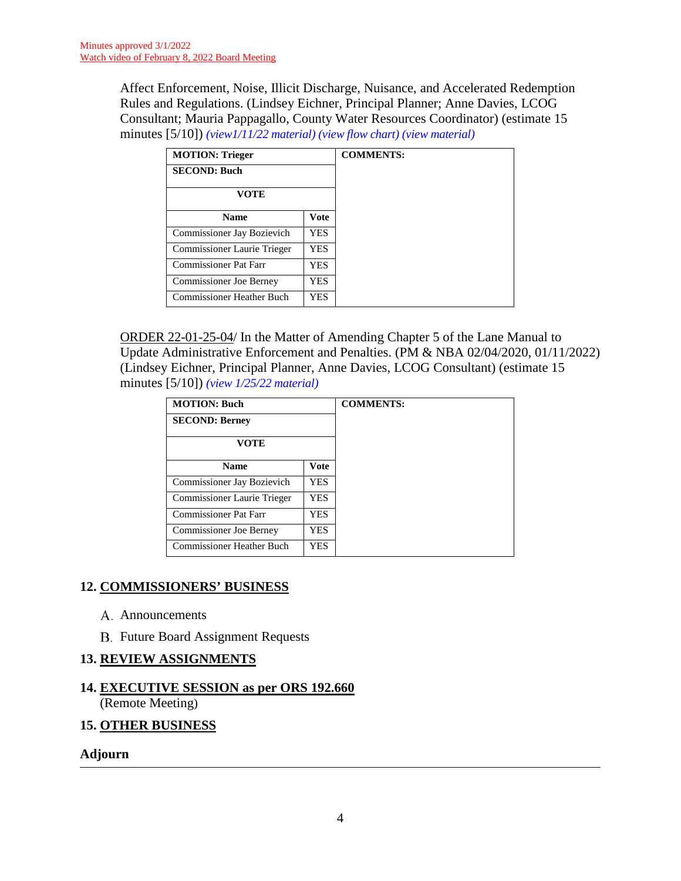Affect Enforcement, Noise, Illicit Discharge, Nuisance, and Accelerated Redemption Rules and Regulations. (Lindsey Eichner, Principal Planner; Anne Davies, LCOG Consultant; Mauria Pappagallo, County Water Resources Coordinator) (estimate 15 minutes [5/10]) *[\(view1/11/22](http://www.lanecountyor.gov/UserFiles/Servers/Server_3585797/File/Government/BCC/2022/2022_AGENDAS/011122agenda/T.12.A.pdf) material) (view [flow chart\)](http://www.lanecountyor.gov/UserFiles/Servers/Server_3585797/File/Government/BCC/2022/2022_AGENDAS/012522agenda/T.14.A.pdf) (view [material\)](http://www.lanecountyor.gov/UserFiles/Servers/Server_3585797/File/Government/BCC/2022/2022_AGENDAS/020822agenda/T.14.B.pdf)*

| <b>MOTION: Trieger</b>           |      | <b>COMMENTS:</b> |
|----------------------------------|------|------------------|
| <b>SECOND: Buch</b>              |      |                  |
| <b>VOTE</b>                      |      |                  |
| <b>Name</b><br>Vote              |      |                  |
| Commissioner Jay Bozievich       | YES. |                  |
| Commissioner Laurie Trieger      | YES  |                  |
| Commissioner Pat Farr            | YES  |                  |
| <b>Commissioner Joe Berney</b>   | YES  |                  |
| <b>Commissioner Heather Buch</b> | YES  |                  |

ORDER 22-01-25-04/ In the Matter of Amending Chapter 5 of the Lane Manual to Update Administrative Enforcement and Penalties. (PM & NBA 02/04/2020, 01/11/2022) (Lindsey Eichner, Principal Planner, Anne Davies, LCOG Consultant) (estimate 15 minutes [5/10]) *(view 1/25/22 [material\)](http://www.lanecountyor.gov/UserFiles/Servers/Server_3585797/File/Government/BCC/2022/2022_AGENDAS/012522agenda/T.14.B.pdf)*

| <b>MOTION: Buch</b>               |            | <b>COMMENTS:</b> |
|-----------------------------------|------------|------------------|
| <b>SECOND: Berney</b>             |            |                  |
| <b>VOTE</b>                       |            |                  |
| <b>Name</b>                       | Vote       |                  |
| <b>Commissioner Jay Bozievich</b> | <b>YES</b> |                  |
| Commissioner Laurie Trieger       | <b>YES</b> |                  |
| <b>Commissioner Pat Farr</b>      | <b>YES</b> |                  |
| <b>Commissioner Joe Berney</b>    | YES.       |                  |
| <b>Commissioner Heather Buch</b>  | <b>YES</b> |                  |

## **12. COMMISSIONERS' BUSINESS**

- A. Announcements
- **B.** Future Board Assignment Requests

## **13. REVIEW ASSIGNMENTS**

## **14. EXECUTIVE SESSION as per ORS 192.660** (Remote Meeting)

## **15. OTHER BUSINESS**

### **Adjourn**